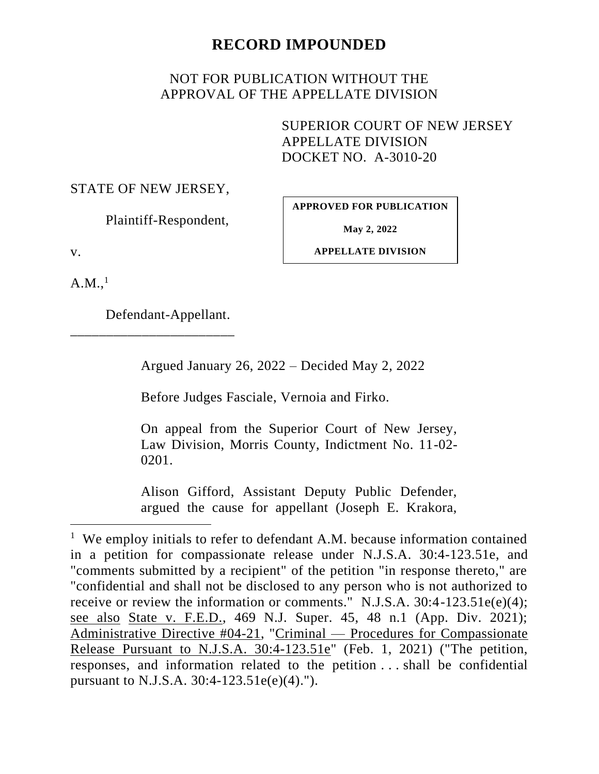# **RECORD IMPOUNDED**

# NOT FOR PUBLICATION WITHOUT THE APPROVAL OF THE APPELLATE DIVISION

SUPERIOR COURT OF NEW JERSEY APPELLATE DIVISION DOCKET NO. A-3010-20

### STATE OF NEW JERSEY,

Plaintiff-Respondent,

**APPROVED FOR PUBLICATION**

**May 2, 2022**

v.

**APPELLATE DIVISION**

 $A.M.,<sup>1</sup>$ 

Defendant-Appellant.

\_\_\_\_\_\_\_\_\_\_\_\_\_\_\_\_\_\_\_\_\_\_\_

Argued January 26, 2022 – Decided May 2, 2022

Before Judges Fasciale, Vernoia and Firko.

On appeal from the Superior Court of New Jersey, Law Division, Morris County, Indictment No. 11-02- 0201.

Alison Gifford, Assistant Deputy Public Defender, argued the cause for appellant (Joseph E. Krakora,

<sup>&</sup>lt;sup>1</sup> We employ initials to refer to defendant A.M. because information contained in a petition for compassionate release under N.J.S.A. 30:4-123.51e, and "comments submitted by a recipient" of the petition "in response thereto," are "confidential and shall not be disclosed to any person who is not authorized to receive or review the information or comments." N.J.S.A. 30:4-123.51e(e)(4); see also State v. F.E.D., 469 N.J. Super. 45, 48 n.1 (App. Div. 2021); Administrative Directive #04-21, "Criminal — Procedures for Compassionate Release Pursuant to N.J.S.A. 30:4-123.51e" (Feb. 1, 2021) ("The petition, responses, and information related to the petition . . . shall be confidential pursuant to N.J.S.A. 30:4-123.51e(e)(4).").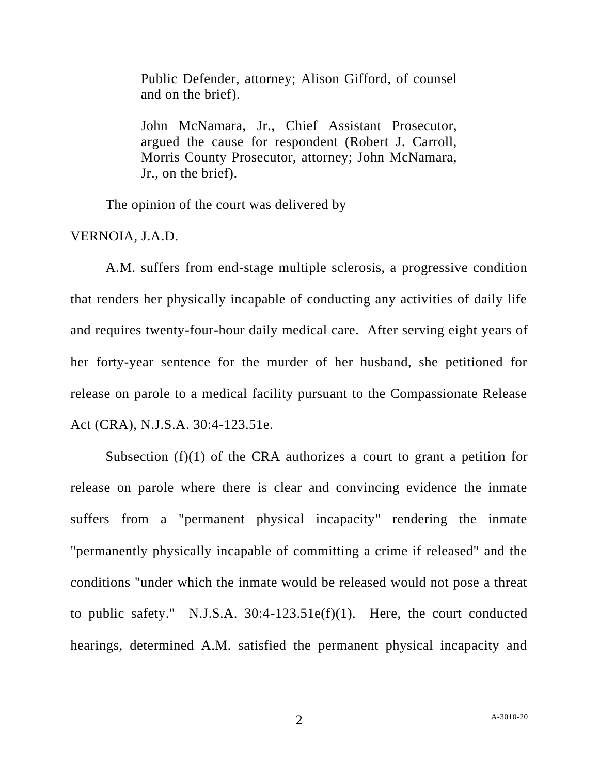Public Defender, attorney; Alison Gifford, of counsel and on the brief).

John McNamara, Jr., Chief Assistant Prosecutor, argued the cause for respondent (Robert J. Carroll, Morris County Prosecutor, attorney; John McNamara, Jr., on the brief).

The opinion of the court was delivered by

VERNOIA, J.A.D.

A.M. suffers from end-stage multiple sclerosis, a progressive condition that renders her physically incapable of conducting any activities of daily life and requires twenty-four-hour daily medical care. After serving eight years of her forty-year sentence for the murder of her husband, she petitioned for release on parole to a medical facility pursuant to the Compassionate Release Act (CRA), N.J.S.A. 30:4-123.51e.

Subsection (f)(1) of the CRA authorizes a court to grant a petition for release on parole where there is clear and convincing evidence the inmate suffers from a "permanent physical incapacity" rendering the inmate "permanently physically incapable of committing a crime if released" and the conditions "under which the inmate would be released would not pose a threat to public safety." N.J.S.A.  $30:4-123.51e(f)(1)$ . Here, the court conducted hearings, determined A.M. satisfied the permanent physical incapacity and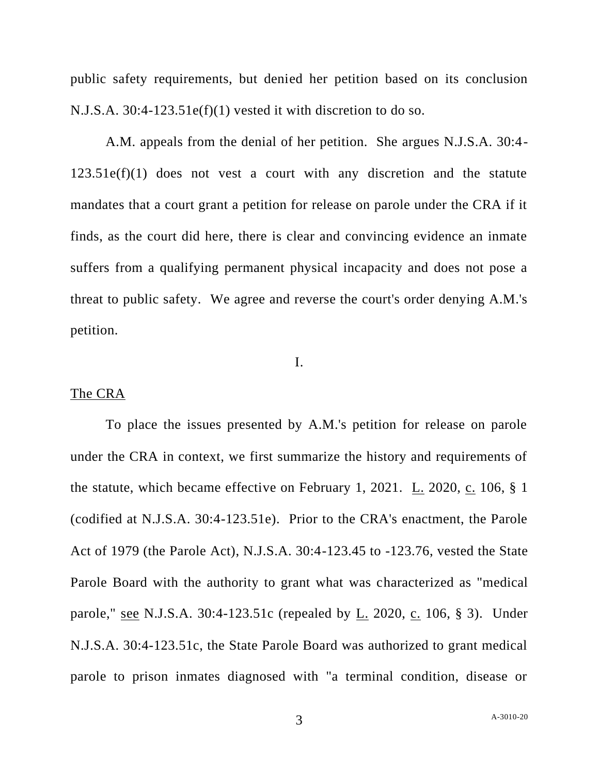public safety requirements, but denied her petition based on its conclusion N.J.S.A. 30:4-123.51e(f)(1) vested it with discretion to do so.

A.M. appeals from the denial of her petition. She argues N.J.S.A. 30:4-  $123.51e(f)(1)$  does not vest a court with any discretion and the statute mandates that a court grant a petition for release on parole under the CRA if it finds, as the court did here, there is clear and convincing evidence an inmate suffers from a qualifying permanent physical incapacity and does not pose a threat to public safety. We agree and reverse the court's order denying A.M.'s petition.

#### I.

#### The CRA

To place the issues presented by A.M.'s petition for release on parole under the CRA in context, we first summarize the history and requirements of the statute, which became effective on February 1, 2021.  $\underline{L}$ . 2020,  $\underline{c}$ . 106, § 1 (codified at N.J.S.A. 30:4-123.51e). Prior to the CRA's enactment, the Parole Act of 1979 (the Parole Act), N.J.S.A. 30:4-123.45 to -123.76, vested the State Parole Board with the authority to grant what was characterized as "medical parole," see N.J.S.A. 30:4-123.51c (repealed by L. 2020, c. 106, § 3). Under N.J.S.A. 30:4-123.51c, the State Parole Board was authorized to grant medical parole to prison inmates diagnosed with "a terminal condition, disease or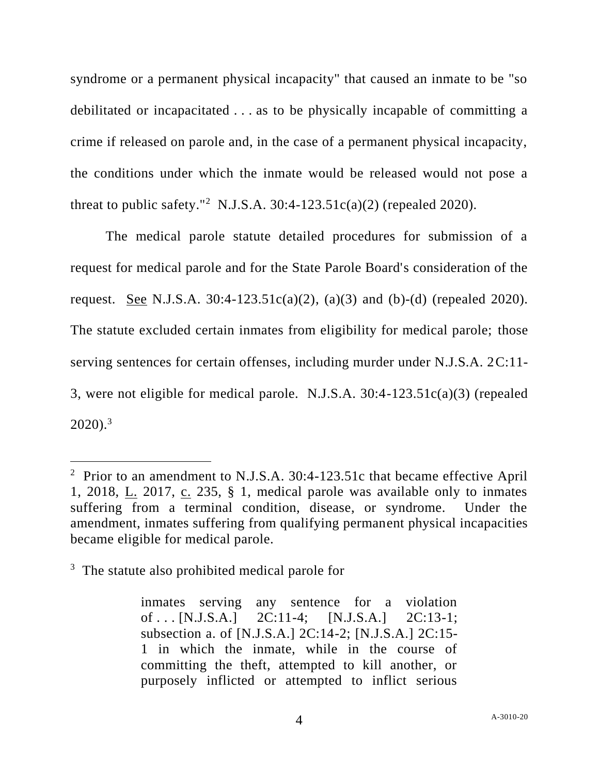syndrome or a permanent physical incapacity" that caused an inmate to be "so debilitated or incapacitated . . . as to be physically incapable of committing a crime if released on parole and, in the case of a permanent physical incapacity, the conditions under which the inmate would be released would not pose a threat to public safety."<sup>2</sup> N.J.S.A. 30:4-123.51c(a)(2) (repealed 2020).

The medical parole statute detailed procedures for submission of a request for medical parole and for the State Parole Board's consideration of the request. See N.J.S.A.  $30:4-123.51c(a)(2)$ ,  $(a)(3)$  and  $(b)-(d)$  (repealed 2020). The statute excluded certain inmates from eligibility for medical parole; those serving sentences for certain offenses, including murder under N.J.S.A. 2C:11- 3, were not eligible for medical parole. N.J.S.A. 30:4-123.51c(a)(3) (repealed  $2020$ ).<sup>3</sup>

inmates serving any sentence for a violation of . . . [N.J.S.A.] 2C:11-4; [N.J.S.A.] 2C:13-1; subsection a. of [N.J.S.A.] 2C:14-2; [N.J.S.A.] 2C:15- 1 in which the inmate, while in the course of committing the theft, attempted to kill another, or purposely inflicted or attempted to inflict serious

<sup>&</sup>lt;sup>2</sup> Prior to an amendment to N.J.S.A. 30:4-123.51c that became effective April 1, 2018, L. 2017, c. 235, § 1, medical parole was available only to inmates suffering from a terminal condition, disease, or syndrome. Under the amendment, inmates suffering from qualifying permanent physical incapacities became eligible for medical parole.

<sup>&</sup>lt;sup>3</sup> The statute also prohibited medical parole for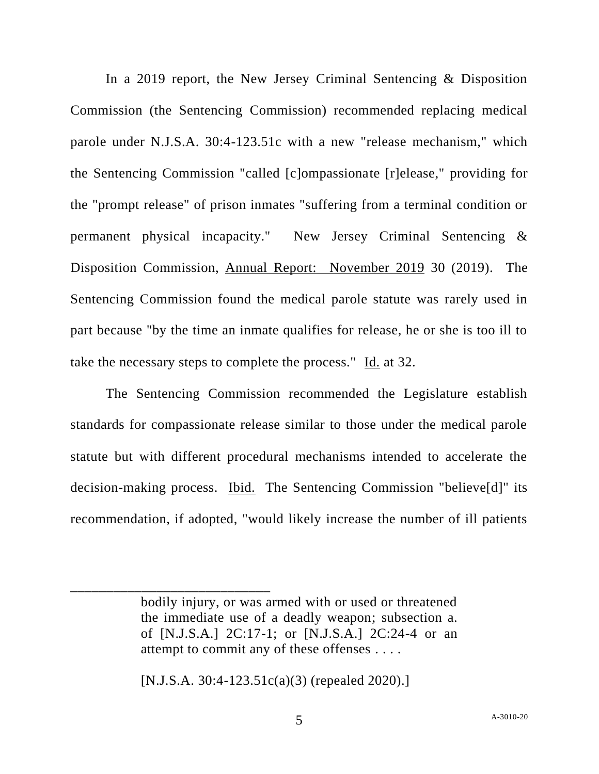In a 2019 report, the New Jersey Criminal Sentencing & Disposition Commission (the Sentencing Commission) recommended replacing medical parole under N.J.S.A. 30:4-123.51c with a new "release mechanism," which the Sentencing Commission "called [c]ompassionate [r]elease," providing for the "prompt release" of prison inmates "suffering from a terminal condition or permanent physical incapacity." New Jersey Criminal Sentencing & Disposition Commission, Annual Report: November 2019 30 (2019). The Sentencing Commission found the medical parole statute was rarely used in part because "by the time an inmate qualifies for release, he or she is too ill to take the necessary steps to complete the process." Id. at 32.

The Sentencing Commission recommended the Legislature establish standards for compassionate release similar to those under the medical parole statute but with different procedural mechanisms intended to accelerate the decision-making process. Ibid. The Sentencing Commission "believe[d]" its recommendation, if adopted, "would likely increase the number of ill patients

[N.J.S.A. 30:4-123.51c(a)(3) (repealed 2020).]

\_\_\_\_\_\_\_\_\_\_\_\_\_\_\_\_\_\_\_\_\_\_\_\_\_\_\_\_

bodily injury, or was armed with or used or threatened the immediate use of a deadly weapon; subsection a. of [N.J.S.A.] 2C:17-1; or [N.J.S.A.] 2C:24-4 or an attempt to commit any of these offenses . . . .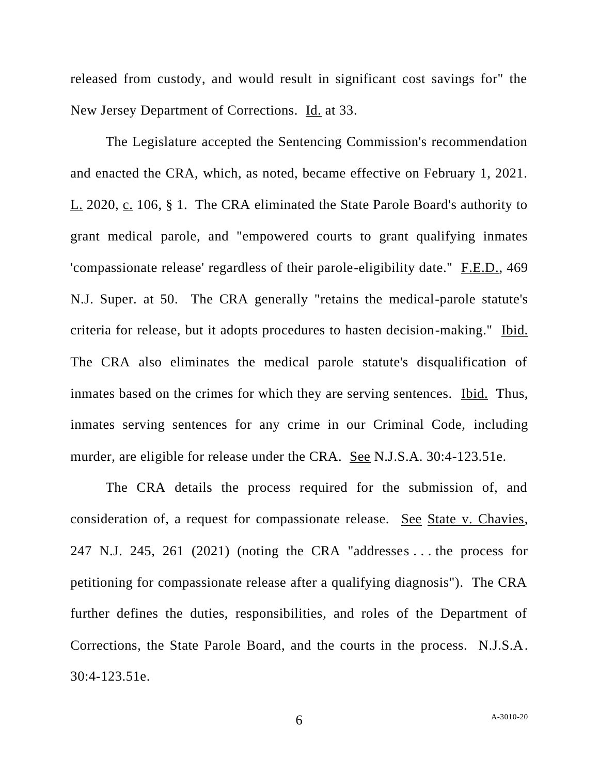released from custody, and would result in significant cost savings for" the New Jersey Department of Corrections. Id. at 33.

The Legislature accepted the Sentencing Commission's recommendation and enacted the CRA, which, as noted, became effective on February 1, 2021. L. 2020, c. 106, § 1. The CRA eliminated the State Parole Board's authority to grant medical parole, and "empowered courts to grant qualifying inmates 'compassionate release' regardless of their parole-eligibility date." F.E.D., 469 N.J. Super. at 50. The CRA generally "retains the medical-parole statute's criteria for release, but it adopts procedures to hasten decision-making." Ibid. The CRA also eliminates the medical parole statute's disqualification of inmates based on the crimes for which they are serving sentences. Ibid. Thus, inmates serving sentences for any crime in our Criminal Code, including murder, are eligible for release under the CRA. See N.J.S.A. 30:4-123.51e.

The CRA details the process required for the submission of, and consideration of, a request for compassionate release. See State v. Chavies, 247 N.J. 245, 261 (2021) (noting the CRA "addresses . . . the process for petitioning for compassionate release after a qualifying diagnosis"). The CRA further defines the duties, responsibilities, and roles of the Department of Corrections, the State Parole Board, and the courts in the process. N.J.S.A. 30:4-123.51e.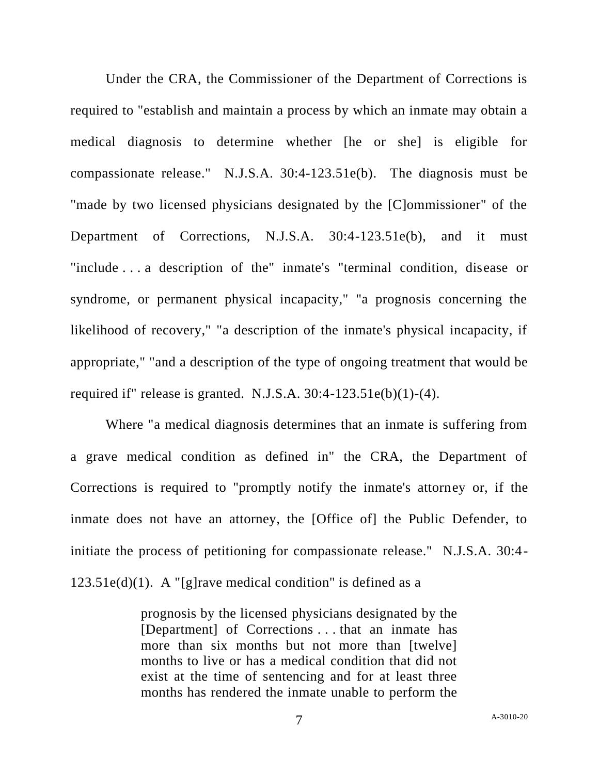Under the CRA, the Commissioner of the Department of Corrections is required to "establish and maintain a process by which an inmate may obtain a medical diagnosis to determine whether [he or she] is eligible for compassionate release." N.J.S.A. 30:4-123.51e(b). The diagnosis must be "made by two licensed physicians designated by the [C]ommissioner" of the Department of Corrections, N.J.S.A. 30:4-123.51e(b), and it must "include . . . a description of the" inmate's "terminal condition, disease or syndrome, or permanent physical incapacity," "a prognosis concerning the likelihood of recovery," "a description of the inmate's physical incapacity, if appropriate," "and a description of the type of ongoing treatment that would be required if" release is granted. N.J.S.A.  $30:4-123.51e(b)(1)-(4)$ .

Where "a medical diagnosis determines that an inmate is suffering from a grave medical condition as defined in" the CRA, the Department of Corrections is required to "promptly notify the inmate's attorney or, if the inmate does not have an attorney, the [Office of] the Public Defender, to initiate the process of petitioning for compassionate release." N.J.S.A. 30:4-  $123.51e(d)(1)$ . A "[g]rave medical condition" is defined as a

> prognosis by the licensed physicians designated by the [Department] of Corrections . . . that an inmate has more than six months but not more than [twelve] months to live or has a medical condition that did not exist at the time of sentencing and for at least three months has rendered the inmate unable to perform the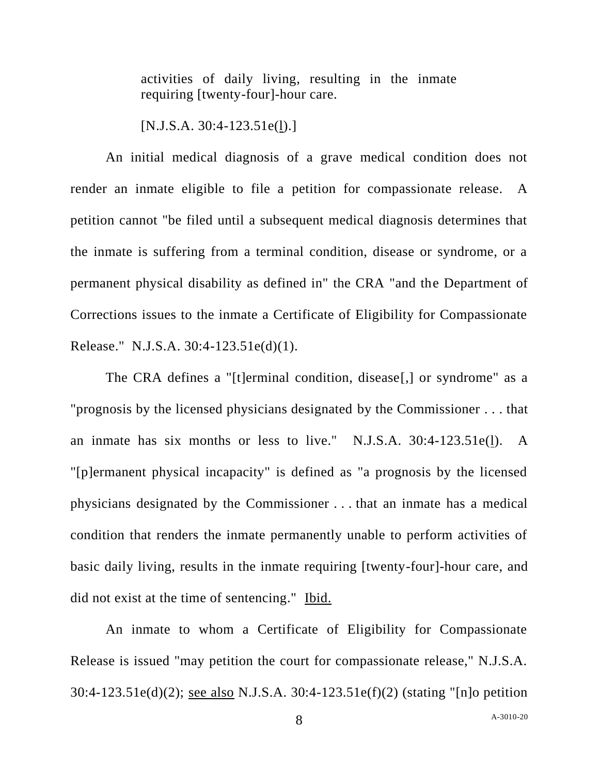activities of daily living, resulting in the inmate requiring [twenty-four]-hour care.

[N.J.S.A. 30:4-123.51e(l).]

An initial medical diagnosis of a grave medical condition does not render an inmate eligible to file a petition for compassionate release. A petition cannot "be filed until a subsequent medical diagnosis determines that the inmate is suffering from a terminal condition, disease or syndrome, or a permanent physical disability as defined in" the CRA "and the Department of Corrections issues to the inmate a Certificate of Eligibility for Compassionate Release." N.J.S.A. 30:4-123.51e(d)(1).

The CRA defines a "[t]erminal condition, disease[,] or syndrome" as a "prognosis by the licensed physicians designated by the Commissioner . . . that an inmate has six months or less to live." N.J.S.A. 30:4-123.51e(l). A "[p]ermanent physical incapacity" is defined as "a prognosis by the licensed physicians designated by the Commissioner . . . that an inmate has a medical condition that renders the inmate permanently unable to perform activities of basic daily living, results in the inmate requiring [twenty-four]-hour care, and did not exist at the time of sentencing." Ibid.

An inmate to whom a Certificate of Eligibility for Compassionate Release is issued "may petition the court for compassionate release," N.J.S.A. 30:4-123.51e(d)(2); see also N.J.S.A. 30:4-123.51e(f)(2) (stating "[n]o petition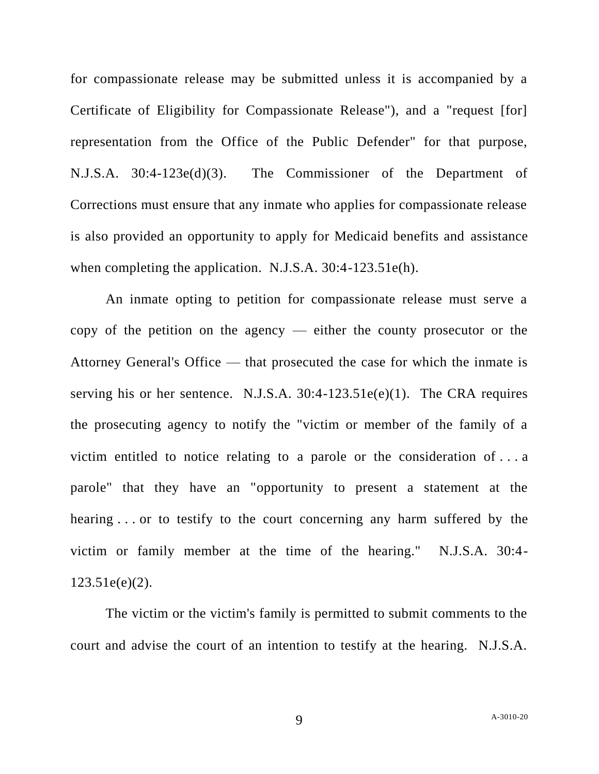for compassionate release may be submitted unless it is accompanied by a Certificate of Eligibility for Compassionate Release"), and a "request [for] representation from the Office of the Public Defender" for that purpose, N.J.S.A. 30:4-123e(d)(3). The Commissioner of the Department of Corrections must ensure that any inmate who applies for compassionate release is also provided an opportunity to apply for Medicaid benefits and assistance when completing the application. N.J.S.A. 30:4-123.51e(h).

An inmate opting to petition for compassionate release must serve a copy of the petition on the agency — either the county prosecutor or the Attorney General's Office — that prosecuted the case for which the inmate is serving his or her sentence. N.J.S.A.  $30:4-123.51e(e)(1)$ . The CRA requires the prosecuting agency to notify the "victim or member of the family of a victim entitled to notice relating to a parole or the consideration of . . . a parole" that they have an "opportunity to present a statement at the hearing . . . or to testify to the court concerning any harm suffered by the victim or family member at the time of the hearing." N.J.S.A. 30:4- 123.51e(e)(2).

The victim or the victim's family is permitted to submit comments to the court and advise the court of an intention to testify at the hearing. N.J.S.A.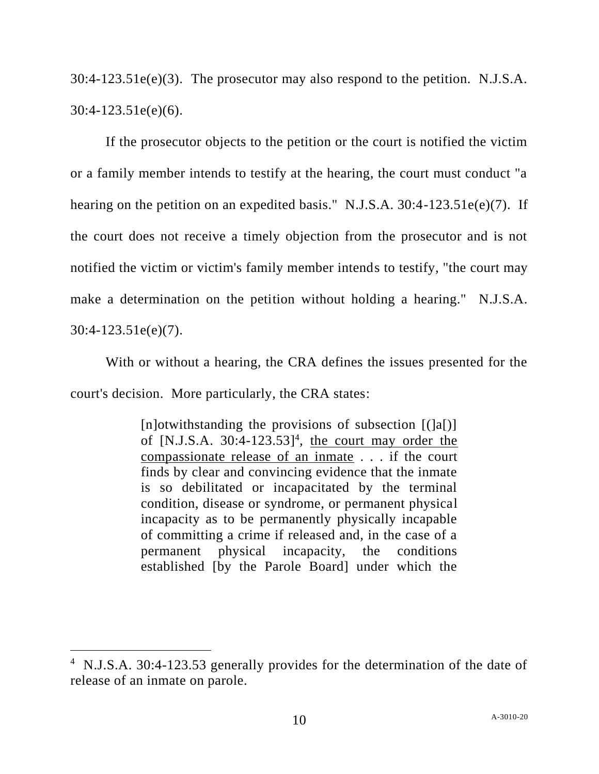30:4-123.51e(e)(3). The prosecutor may also respond to the petition. N.J.S.A. 30:4-123.51e(e)(6).

If the prosecutor objects to the petition or the court is notified the victim or a family member intends to testify at the hearing, the court must conduct "a hearing on the petition on an expedited basis." N.J.S.A. 30:4-123.51e(e)(7). If the court does not receive a timely objection from the prosecutor and is not notified the victim or victim's family member intends to testify, "the court may make a determination on the petition without holding a hearing." N.J.S.A. 30:4-123.51e(e)(7).

With or without a hearing, the CRA defines the issues presented for the court's decision. More particularly, the CRA states:

> [n]otwithstanding the provisions of subsection  $[(a])$ ] of [N.J.S.A.  $30:4-123.53$ ]<sup>4</sup>, the court may order the compassionate release of an inmate . . . if the court finds by clear and convincing evidence that the inmate is so debilitated or incapacitated by the terminal condition, disease or syndrome, or permanent physical incapacity as to be permanently physically incapable of committing a crime if released and, in the case of a permanent physical incapacity, the conditions established [by the Parole Board] under which the

<sup>&</sup>lt;sup>4</sup> N.J.S.A. 30:4-123.53 generally provides for the determination of the date of release of an inmate on parole.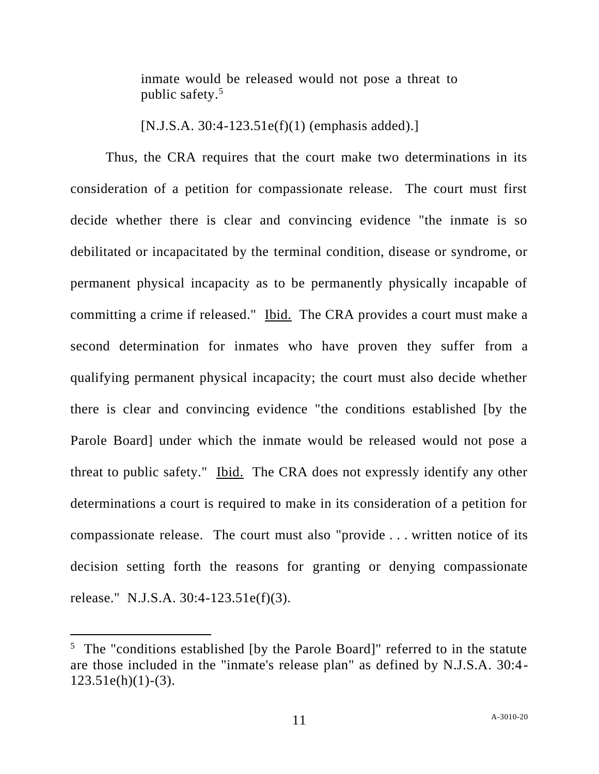inmate would be released would not pose a threat to public safety.<sup>5</sup>

[N.J.S.A. 30:4-123.51e(f)(1) (emphasis added).]

Thus, the CRA requires that the court make two determinations in its consideration of a petition for compassionate release. The court must first decide whether there is clear and convincing evidence "the inmate is so debilitated or incapacitated by the terminal condition, disease or syndrome, or permanent physical incapacity as to be permanently physically incapable of committing a crime if released." Ibid. The CRA provides a court must make a second determination for inmates who have proven they suffer from a qualifying permanent physical incapacity; the court must also decide whether there is clear and convincing evidence "the conditions established [by the Parole Board] under which the inmate would be released would not pose a threat to public safety." Ibid. The CRA does not expressly identify any other determinations a court is required to make in its consideration of a petition for compassionate release. The court must also "provide . . . written notice of its decision setting forth the reasons for granting or denying compassionate release." N.J.S.A. 30:4-123.51e(f)(3).

<sup>&</sup>lt;sup>5</sup> The "conditions established [by the Parole Board]" referred to in the statute are those included in the "inmate's release plan" as defined by N.J.S.A. 30:4-  $123.51e(h)(1)-(3)$ .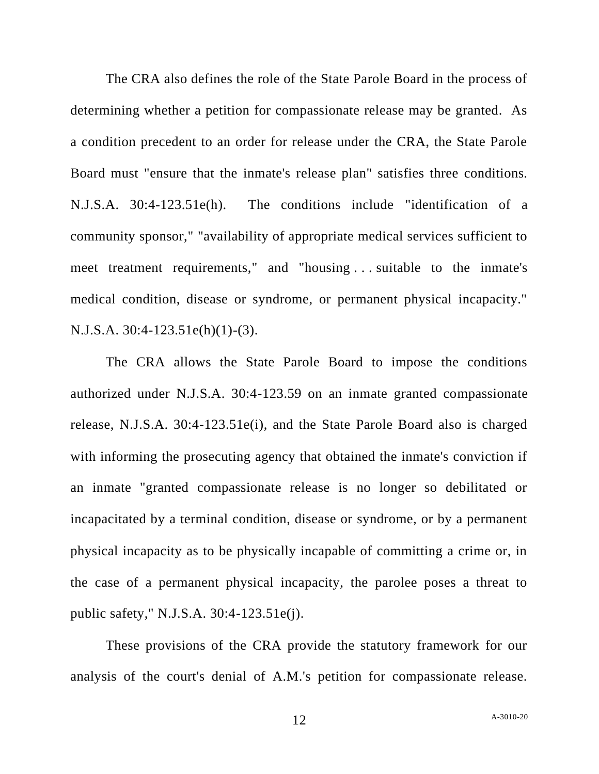The CRA also defines the role of the State Parole Board in the process of determining whether a petition for compassionate release may be granted. As a condition precedent to an order for release under the CRA, the State Parole Board must "ensure that the inmate's release plan" satisfies three conditions. N.J.S.A. 30:4-123.51e(h). The conditions include "identification of a community sponsor," "availability of appropriate medical services sufficient to meet treatment requirements," and "housing . . . suitable to the inmate's medical condition, disease or syndrome, or permanent physical incapacity." N.J.S.A. 30:4-123.51e(h)(1)-(3).

The CRA allows the State Parole Board to impose the conditions authorized under N.J.S.A. 30:4-123.59 on an inmate granted compassionate release, N.J.S.A. 30:4-123.51e(i), and the State Parole Board also is charged with informing the prosecuting agency that obtained the inmate's conviction if an inmate "granted compassionate release is no longer so debilitated or incapacitated by a terminal condition, disease or syndrome, or by a permanent physical incapacity as to be physically incapable of committing a crime or, in the case of a permanent physical incapacity, the parolee poses a threat to public safety," N.J.S.A. 30:4-123.51e(j).

These provisions of the CRA provide the statutory framework for our analysis of the court's denial of A.M.'s petition for compassionate release.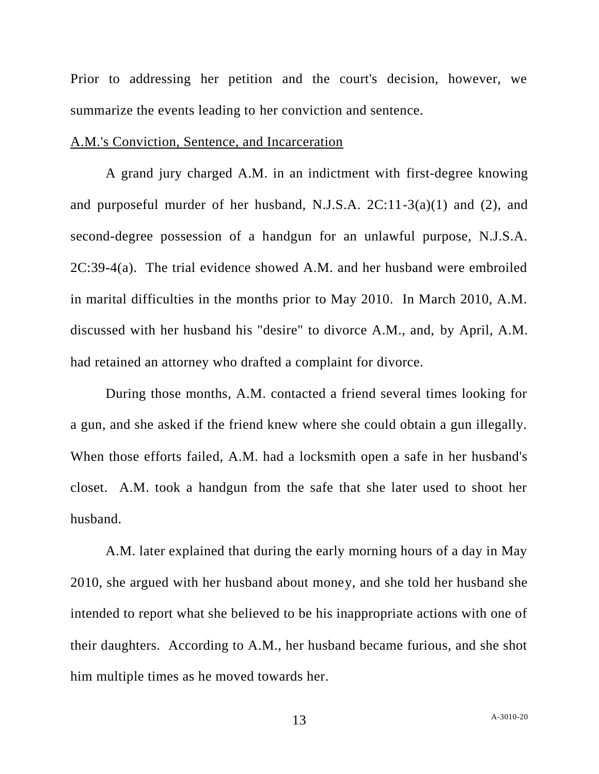Prior to addressing her petition and the court's decision, however, we summarize the events leading to her conviction and sentence.

#### A.M.'s Conviction, Sentence, and Incarceration

A grand jury charged A.M. in an indictment with first-degree knowing and purposeful murder of her husband, N.J.S.A.  $2C:11-3(a)(1)$  and (2), and second-degree possession of a handgun for an unlawful purpose, N.J.S.A. 2C:39-4(a). The trial evidence showed A.M. and her husband were embroiled in marital difficulties in the months prior to May 2010. In March 2010, A.M. discussed with her husband his "desire" to divorce A.M., and, by April, A.M. had retained an attorney who drafted a complaint for divorce.

During those months, A.M. contacted a friend several times looking for a gun, and she asked if the friend knew where she could obtain a gun illegally. When those efforts failed, A.M. had a locksmith open a safe in her husband's closet. A.M. took a handgun from the safe that she later used to shoot her husband.

A.M. later explained that during the early morning hours of a day in May 2010, she argued with her husband about money, and she told her husband she intended to report what she believed to be his inappropriate actions with one of their daughters. According to A.M., her husband became furious, and she shot him multiple times as he moved towards her.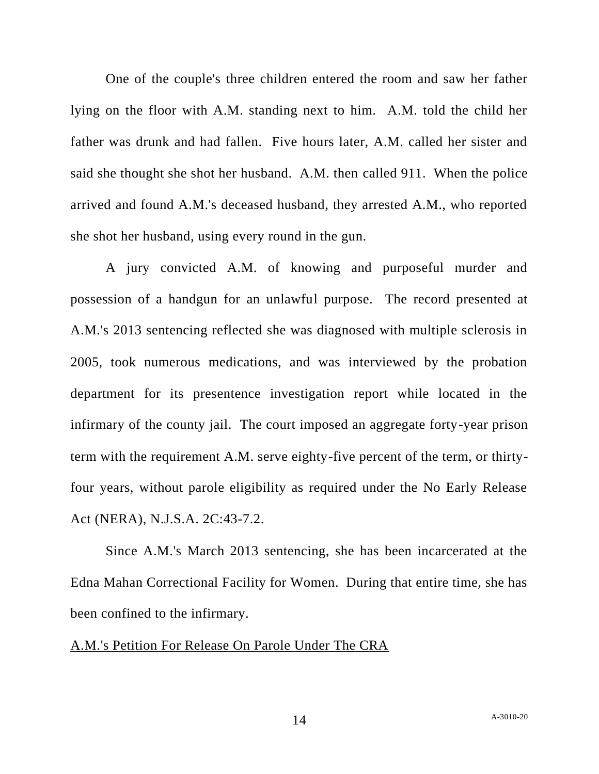One of the couple's three children entered the room and saw her father lying on the floor with A.M. standing next to him. A.M. told the child her father was drunk and had fallen. Five hours later, A.M. called her sister and said she thought she shot her husband. A.M. then called 911. When the police arrived and found A.M.'s deceased husband, they arrested A.M., who reported she shot her husband, using every round in the gun.

A jury convicted A.M. of knowing and purposeful murder and possession of a handgun for an unlawful purpose. The record presented at A.M.'s 2013 sentencing reflected she was diagnosed with multiple sclerosis in 2005, took numerous medications, and was interviewed by the probation department for its presentence investigation report while located in the infirmary of the county jail. The court imposed an aggregate forty-year prison term with the requirement A.M. serve eighty-five percent of the term, or thirtyfour years, without parole eligibility as required under the No Early Release Act (NERA), N.J.S.A. 2C:43-7.2.

Since A.M.'s March 2013 sentencing, she has been incarcerated at the Edna Mahan Correctional Facility for Women. During that entire time, she has been confined to the infirmary.

### A.M.'s Petition For Release On Parole Under The CRA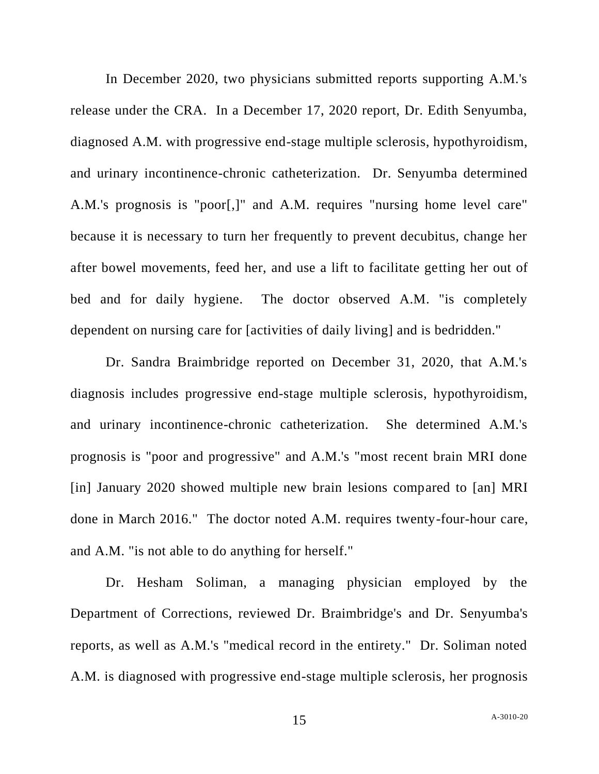In December 2020, two physicians submitted reports supporting A.M.'s release under the CRA. In a December 17, 2020 report, Dr. Edith Senyumba, diagnosed A.M. with progressive end-stage multiple sclerosis, hypothyroidism, and urinary incontinence-chronic catheterization. Dr. Senyumba determined A.M.'s prognosis is "poor[,]" and A.M. requires "nursing home level care" because it is necessary to turn her frequently to prevent decubitus, change her after bowel movements, feed her, and use a lift to facilitate getting her out of bed and for daily hygiene. The doctor observed A.M. "is completely dependent on nursing care for [activities of daily living] and is bedridden."

Dr. Sandra Braimbridge reported on December 31, 2020, that A.M.'s diagnosis includes progressive end-stage multiple sclerosis, hypothyroidism, and urinary incontinence-chronic catheterization. She determined A.M.'s prognosis is "poor and progressive" and A.M.'s "most recent brain MRI done [in] January 2020 showed multiple new brain lesions compared to [an] MRI done in March 2016." The doctor noted A.M. requires twenty-four-hour care, and A.M. "is not able to do anything for herself."

Dr. Hesham Soliman, a managing physician employed by the Department of Corrections, reviewed Dr. Braimbridge's and Dr. Senyumba's reports, as well as A.M.'s "medical record in the entirety." Dr. Soliman noted A.M. is diagnosed with progressive end-stage multiple sclerosis, her prognosis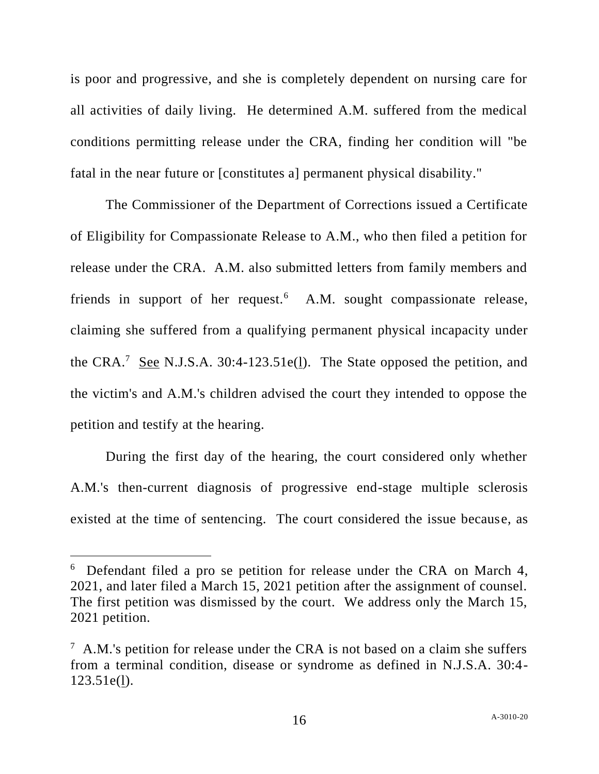is poor and progressive, and she is completely dependent on nursing care for all activities of daily living. He determined A.M. suffered from the medical conditions permitting release under the CRA, finding her condition will "be fatal in the near future or [constitutes a] permanent physical disability."

The Commissioner of the Department of Corrections issued a Certificate of Eligibility for Compassionate Release to A.M., who then filed a petition for release under the CRA. A.M. also submitted letters from family members and friends in support of her request.<sup>6</sup> A.M. sought compassionate release, claiming she suffered from a qualifying permanent physical incapacity under the CRA.<sup>7</sup> See N.J.S.A. 30:4-123.51e( $\underline{1}$ ). The State opposed the petition, and the victim's and A.M.'s children advised the court they intended to oppose the petition and testify at the hearing.

During the first day of the hearing, the court considered only whether A.M.'s then-current diagnosis of progressive end-stage multiple sclerosis existed at the time of sentencing. The court considered the issue because, as

<sup>&</sup>lt;sup>6</sup> Defendant filed a pro se petition for release under the CRA on March 4, 2021, and later filed a March 15, 2021 petition after the assignment of counsel. The first petition was dismissed by the court. We address only the March 15, 2021 petition.

 $7$  A.M.'s petition for release under the CRA is not based on a claim she suffers from a terminal condition, disease or syndrome as defined in N.J.S.A. 30:4- 123.51e(l).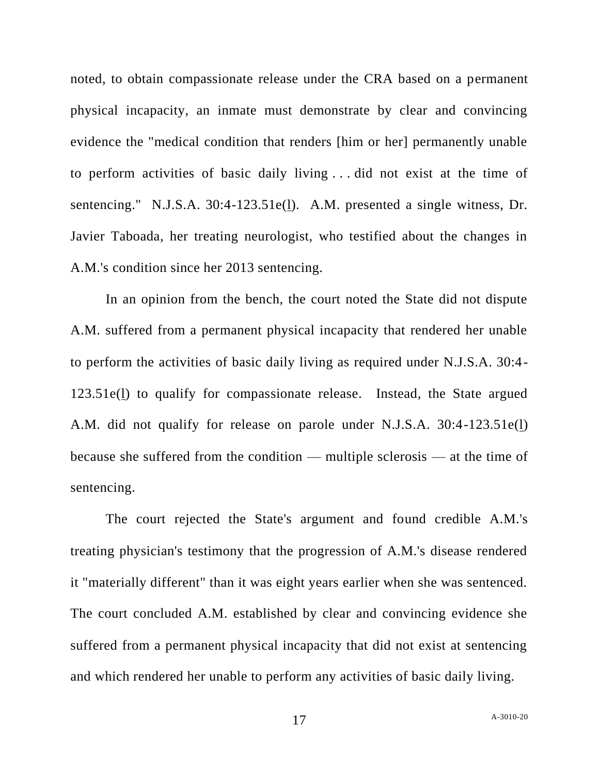noted, to obtain compassionate release under the CRA based on a permanent physical incapacity, an inmate must demonstrate by clear and convincing evidence the "medical condition that renders [him or her] permanently unable to perform activities of basic daily living . . . did not exist at the time of sentencing." N.J.S.A. 30:4-123.51e(l). A.M. presented a single witness, Dr. Javier Taboada, her treating neurologist, who testified about the changes in A.M.'s condition since her 2013 sentencing.

In an opinion from the bench, the court noted the State did not dispute A.M. suffered from a permanent physical incapacity that rendered her unable to perform the activities of basic daily living as required under N.J.S.A. 30:4- 123.51e(l) to qualify for compassionate release. Instead, the State argued A.M. did not qualify for release on parole under N.J.S.A. 30:4-123.51e(l) because she suffered from the condition — multiple sclerosis — at the time of sentencing.

The court rejected the State's argument and found credible A.M.'s treating physician's testimony that the progression of A.M.'s disease rendered it "materially different" than it was eight years earlier when she was sentenced. The court concluded A.M. established by clear and convincing evidence she suffered from a permanent physical incapacity that did not exist at sentencing and which rendered her unable to perform any activities of basic daily living.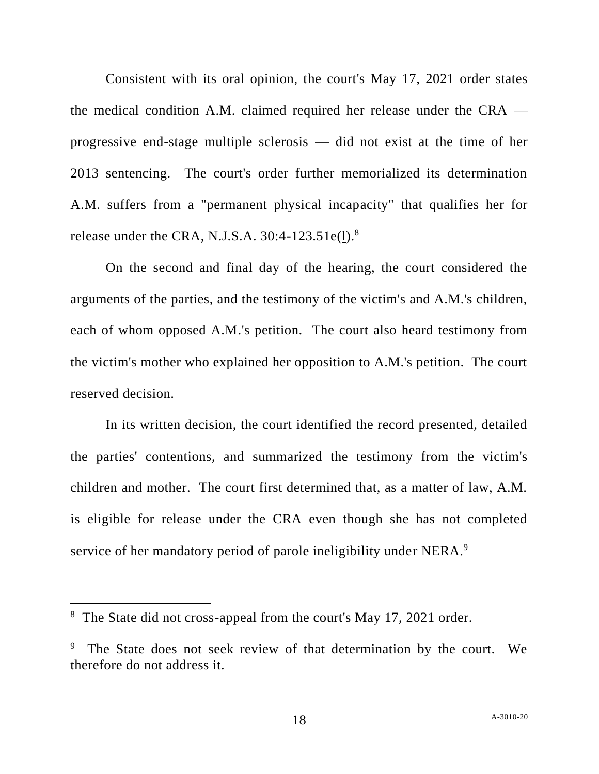Consistent with its oral opinion, the court's May 17, 2021 order states the medical condition A.M. claimed required her release under the CRA progressive end-stage multiple sclerosis — did not exist at the time of her 2013 sentencing. The court's order further memorialized its determination A.M. suffers from a "permanent physical incapacity" that qualifies her for release under the CRA, N.J.S.A.  $30:4-123.51e(1).$ <sup>8</sup>

On the second and final day of the hearing, the court considered the arguments of the parties, and the testimony of the victim's and A.M.'s children, each of whom opposed A.M.'s petition. The court also heard testimony from the victim's mother who explained her opposition to A.M.'s petition. The court reserved decision.

In its written decision, the court identified the record presented, detailed the parties' contentions, and summarized the testimony from the victim's children and mother. The court first determined that, as a matter of law, A.M. is eligible for release under the CRA even though she has not completed service of her mandatory period of parole ineligibility under NERA.<sup>9</sup>

<sup>&</sup>lt;sup>8</sup> The State did not cross-appeal from the court's May 17, 2021 order.

<sup>9</sup> The State does not seek review of that determination by the court. We therefore do not address it.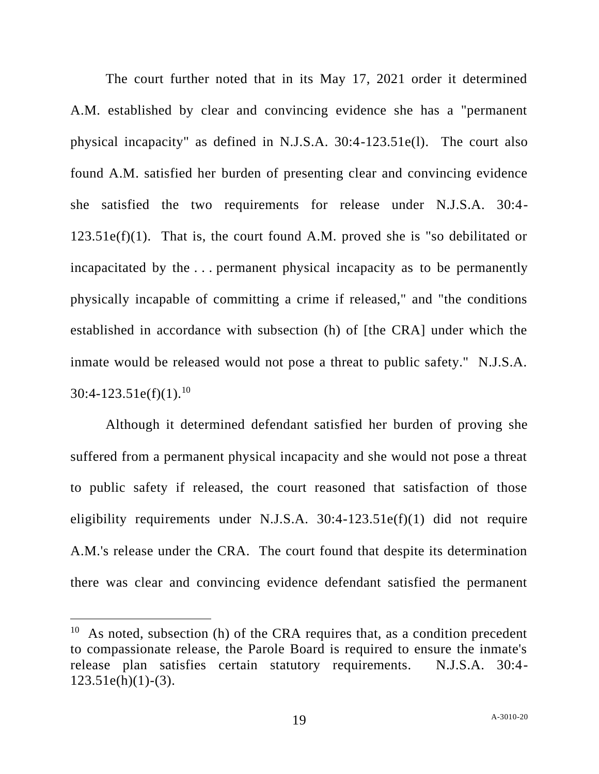The court further noted that in its May 17, 2021 order it determined A.M. established by clear and convincing evidence she has a "permanent physical incapacity" as defined in N.J.S.A. 30:4-123.51e(l). The court also found A.M. satisfied her burden of presenting clear and convincing evidence she satisfied the two requirements for release under N.J.S.A. 30:4-  $123.51e(f)(1)$ . That is, the court found A.M. proved she is "so debilitated or incapacitated by the . . . permanent physical incapacity as to be permanently physically incapable of committing a crime if released," and "the conditions established in accordance with subsection (h) of [the CRA] under which the inmate would be released would not pose a threat to public safety." N.J.S.A.  $30:4-123.51e(f)(1).^{10}$ 

Although it determined defendant satisfied her burden of proving she suffered from a permanent physical incapacity and she would not pose a threat to public safety if released, the court reasoned that satisfaction of those eligibility requirements under N.J.S.A.  $30:4-123.51e(f)(1)$  did not require A.M.'s release under the CRA. The court found that despite its determination there was clear and convincing evidence defendant satisfied the permanent

<sup>&</sup>lt;sup>10</sup> As noted, subsection (h) of the CRA requires that, as a condition precedent to compassionate release, the Parole Board is required to ensure the inmate's release plan satisfies certain statutory requirements. N.J.S.A. 30:4-  $123.51e(h)(1)-(3)$ .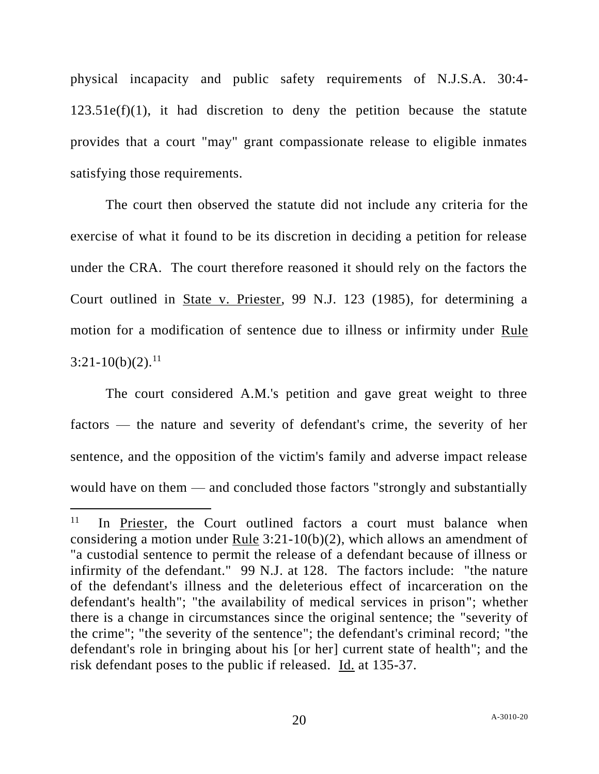physical incapacity and public safety requirements of N.J.S.A. 30:4-  $123.51e(f)(1)$ , it had discretion to deny the petition because the statute provides that a court "may" grant compassionate release to eligible inmates satisfying those requirements.

The court then observed the statute did not include any criteria for the exercise of what it found to be its discretion in deciding a petition for release under the CRA. The court therefore reasoned it should rely on the factors the Court outlined in State v. Priester, 99 N.J. 123 (1985), for determining a motion for a modification of sentence due to illness or infirmity under Rule  $3:21-10(b)(2).^{11}$ 

The court considered A.M.'s petition and gave great weight to three factors — the nature and severity of defendant's crime, the severity of her sentence, and the opposition of the victim's family and adverse impact release would have on them — and concluded those factors "strongly and substantially

<sup>11</sup> In Priester, the Court outlined factors a court must balance when considering a motion under Rule 3:21-10(b)(2), which allows an amendment of "a custodial sentence to permit the release of a defendant because of illness or infirmity of the defendant." 99 N.J. at 128. The factors include: "the nature of the defendant's illness and the deleterious effect of incarceration on the defendant's health"; "the availability of medical services in prison"; whether there is a change in circumstances since the original sentence; the "severity of the crime"; "the severity of the sentence"; the defendant's criminal record; "the defendant's role in bringing about his [or her] current state of health"; and the risk defendant poses to the public if released. Id. at 135-37.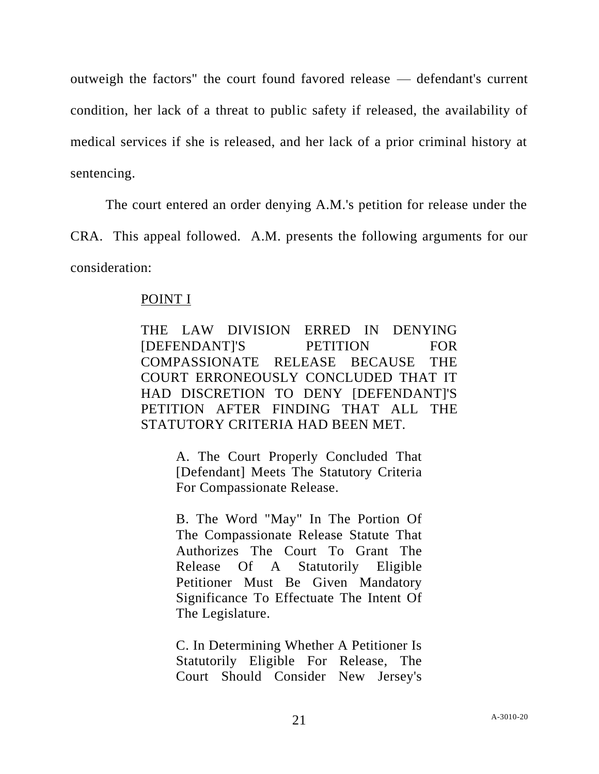outweigh the factors" the court found favored release — defendant's current condition, her lack of a threat to public safety if released, the availability of medical services if she is released, and her lack of a prior criminal history at sentencing.

The court entered an order denying A.M.'s petition for release under the

CRA. This appeal followed. A.M. presents the following arguments for our consideration:

# POINT I

THE LAW DIVISION ERRED IN DENYING [DEFENDANT]'S PETITION FOR COMPASSIONATE RELEASE BECAUSE THE COURT ERRONEOUSLY CONCLUDED THAT IT HAD DISCRETION TO DENY [DEFENDANT]'S PETITION AFTER FINDING THAT ALL THE STATUTORY CRITERIA HAD BEEN MET.

> A. The Court Properly Concluded That [Defendant] Meets The Statutory Criteria For Compassionate Release.

> B. The Word "May" In The Portion Of The Compassionate Release Statute That Authorizes The Court To Grant The Release Of A Statutorily Eligible Petitioner Must Be Given Mandatory Significance To Effectuate The Intent Of The Legislature.

> C. In Determining Whether A Petitioner Is Statutorily Eligible For Release, The Court Should Consider New Jersey's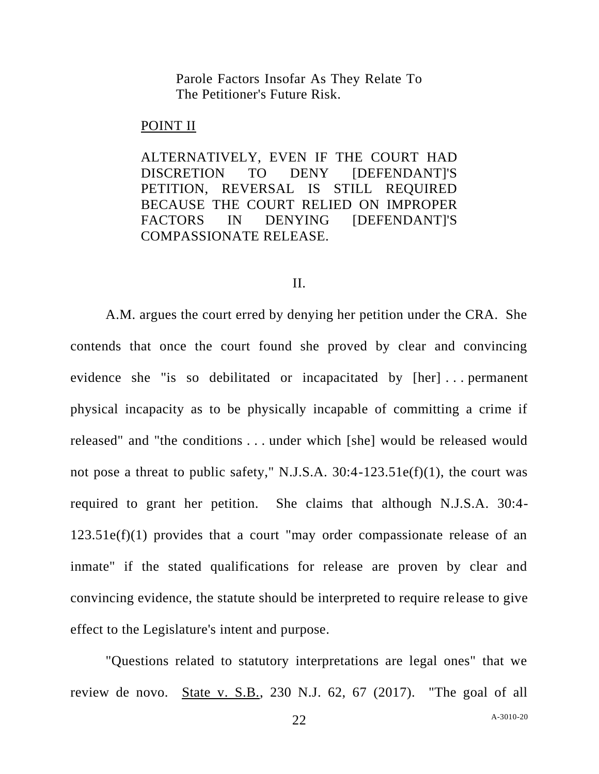Parole Factors Insofar As They Relate To The Petitioner's Future Risk.

#### POINT II

ALTERNATIVELY, EVEN IF THE COURT HAD DISCRETION TO DENY [DEFENDANT]'S PETITION, REVERSAL IS STILL REQUIRED BECAUSE THE COURT RELIED ON IMPROPER FACTORS IN DENYING [DEFENDANT]'S COMPASSIONATE RELEASE.

#### II.

A.M. argues the court erred by denying her petition under the CRA. She contends that once the court found she proved by clear and convincing evidence she "is so debilitated or incapacitated by [her] . . . permanent physical incapacity as to be physically incapable of committing a crime if released" and "the conditions . . . under which [she] would be released would not pose a threat to public safety," N.J.S.A. 30:4-123.51e(f)(1), the court was required to grant her petition. She claims that although N.J.S.A. 30:4-  $123.51e(f)(1)$  provides that a court "may order compassionate release of an inmate" if the stated qualifications for release are proven by clear and convincing evidence, the statute should be interpreted to require release to give effect to the Legislature's intent and purpose.

"Questions related to statutory interpretations are legal ones" that we review de novo. State v. S.B., 230 N.J. 62, 67 (2017). "The goal of all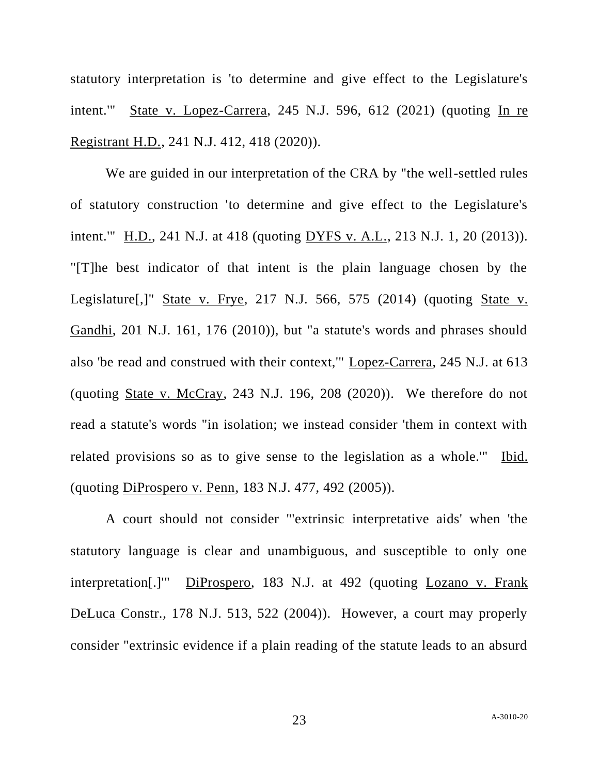statutory interpretation is 'to determine and give effect to the Legislature's intent.'" State v. Lopez-Carrera, 245 N.J. 596, 612 (2021) (quoting In re Registrant H.D., 241 N.J. 412, 418 (2020)).

We are guided in our interpretation of the CRA by "the well-settled rules of statutory construction 'to determine and give effect to the Legislature's intent.'" H.D., 241 N.J. at 418 (quoting DYFS v. A.L., 213 N.J. 1, 20 (2013)). "[T]he best indicator of that intent is the plain language chosen by the Legislature[,]" State v. Frye, 217 N.J. 566, 575 (2014) (quoting State v. Gandhi, 201 N.J. 161, 176 (2010)), but "a statute's words and phrases should also 'be read and construed with their context,'" Lopez-Carrera, 245 N.J. at 613 (quoting State v. McCray,  $243$  N.J. 196,  $208$   $(2020)$ ). We therefore do not read a statute's words "in isolation; we instead consider 'them in context with related provisions so as to give sense to the legislation as a whole.'" Ibid. (quoting DiProspero v. Penn, 183 N.J. 477, 492 (2005)).

A court should not consider "'extrinsic interpretative aids' when 'the statutory language is clear and unambiguous, and susceptible to only one interpretation[.]'" DiProspero, 183 N.J. at 492 (quoting Lozano v. Frank DeLuca Constr., 178 N.J. 513, 522 (2004)). However, a court may properly consider "extrinsic evidence if a plain reading of the statute leads to an absurd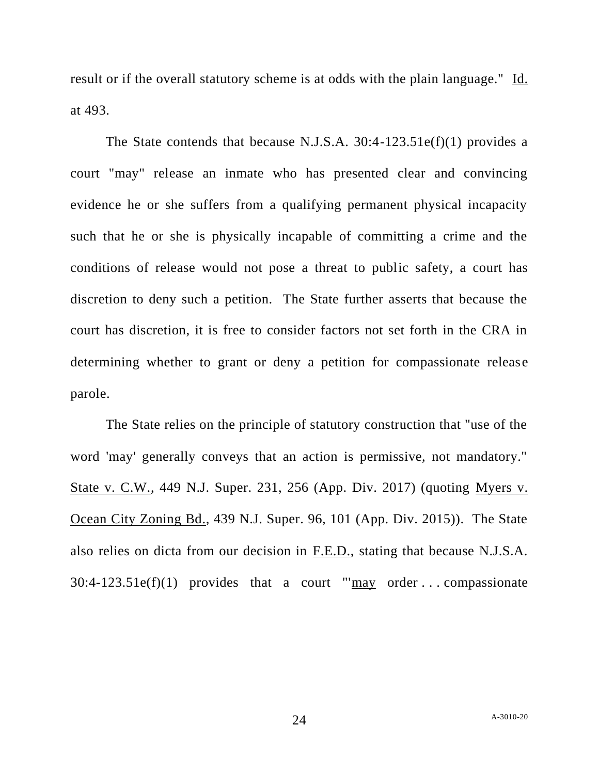result or if the overall statutory scheme is at odds with the plain language." Id. at 493.

The State contends that because N.J.S.A. 30:4-123.51e(f)(1) provides a court "may" release an inmate who has presented clear and convincing evidence he or she suffers from a qualifying permanent physical incapacity such that he or she is physically incapable of committing a crime and the conditions of release would not pose a threat to public safety, a court has discretion to deny such a petition. The State further asserts that because the court has discretion, it is free to consider factors not set forth in the CRA in determining whether to grant or deny a petition for compassionate release parole.

The State relies on the principle of statutory construction that "use of the word 'may' generally conveys that an action is permissive, not mandatory." State v. C.W., 449 N.J. Super. 231, 256 (App. Div. 2017) (quoting Myers v. Ocean City Zoning Bd., 439 N.J. Super. 96, 101 (App. Div. 2015)). The State also relies on dicta from our decision in F.E.D., stating that because N.J.S.A.  $30:4-123.51e(f)(1)$  provides that a court " $\frac{may}{may}$  order ... compassionate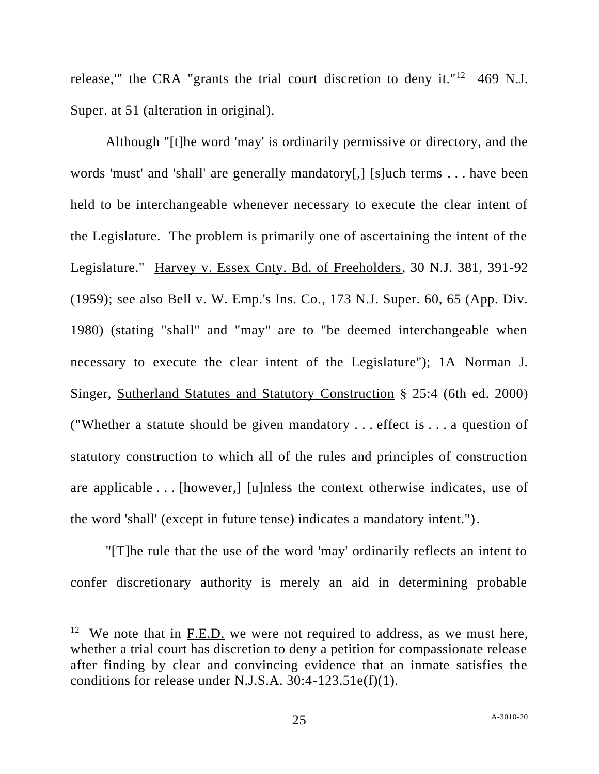release," the CRA "grants the trial court discretion to deny it."<sup>12</sup> 469 N.J. Super. at 51 (alteration in original).

Although "[t]he word 'may' is ordinarily permissive or directory, and the words 'must' and 'shall' are generally mandatory[,] [s]uch terms . . . have been held to be interchangeable whenever necessary to execute the clear intent of the Legislature. The problem is primarily one of ascertaining the intent of the Legislature." Harvey v. Essex Cnty. Bd. of Freeholders, 30 N.J. 381, 391-92 (1959); see also Bell v. W. Emp.'s Ins. Co., 173 N.J. Super. 60, 65 (App. Div. 1980) (stating "shall" and "may" are to "be deemed interchangeable when necessary to execute the clear intent of the Legislature"); 1A Norman J. Singer, Sutherland Statutes and Statutory Construction § 25:4 (6th ed. 2000) ("Whether a statute should be given mandatory . . . effect is . . . a question of statutory construction to which all of the rules and principles of construction are applicable . . . [however,] [u]nless the context otherwise indicates, use of the word 'shall' (except in future tense) indicates a mandatory intent.").

"[T]he rule that the use of the word 'may' ordinarily reflects an intent to confer discretionary authority is merely an aid in determining probable

<sup>&</sup>lt;sup>12</sup> We note that in  $F.E.D.$  we were not required to address, as we must here, whether a trial court has discretion to deny a petition for compassionate release after finding by clear and convincing evidence that an inmate satisfies the conditions for release under N.J.S.A. 30:4-123.51e(f)(1).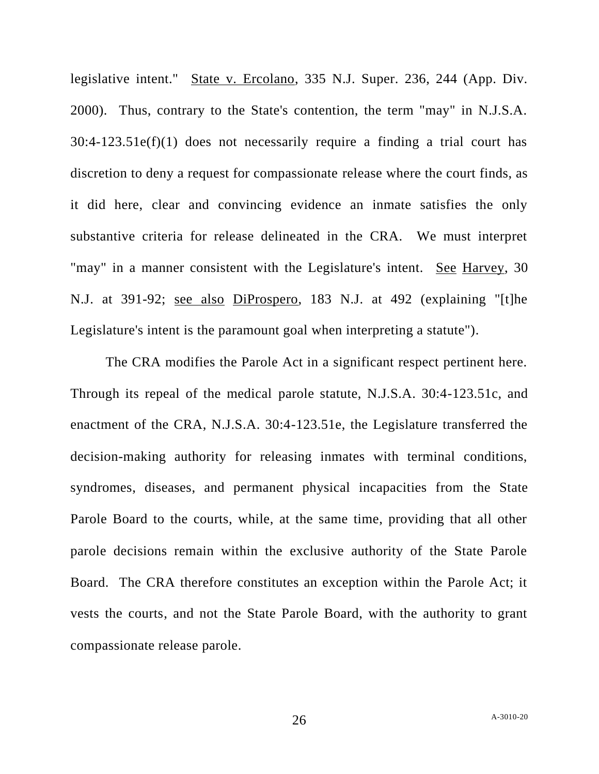legislative intent." State v. Ercolano, 335 N.J. Super. 236, 244 (App. Div. 2000). Thus, contrary to the State's contention, the term "may" in N.J.S.A.  $30:4-123.51e(f)(1)$  does not necessarily require a finding a trial court has discretion to deny a request for compassionate release where the court finds, as it did here, clear and convincing evidence an inmate satisfies the only substantive criteria for release delineated in the CRA. We must interpret "may" in a manner consistent with the Legislature's intent. See Harvey, 30 N.J. at 391-92; see also DiProspero, 183 N.J. at 492 (explaining "[t]he Legislature's intent is the paramount goal when interpreting a statute").

The CRA modifies the Parole Act in a significant respect pertinent here. Through its repeal of the medical parole statute, N.J.S.A. 30:4-123.51c, and enactment of the CRA, N.J.S.A. 30:4-123.51e, the Legislature transferred the decision-making authority for releasing inmates with terminal conditions, syndromes, diseases, and permanent physical incapacities from the State Parole Board to the courts, while, at the same time, providing that all other parole decisions remain within the exclusive authority of the State Parole Board. The CRA therefore constitutes an exception within the Parole Act; it vests the courts, and not the State Parole Board, with the authority to grant compassionate release parole.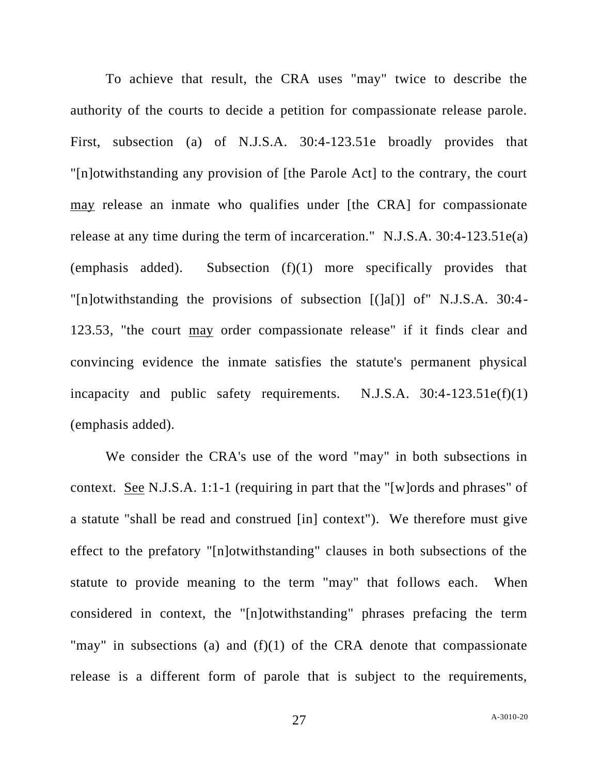To achieve that result, the CRA uses "may" twice to describe the authority of the courts to decide a petition for compassionate release parole. First, subsection (a) of N.J.S.A. 30:4-123.51e broadly provides that "[n]otwithstanding any provision of [the Parole Act] to the contrary, the court may release an inmate who qualifies under [the CRA] for compassionate release at any time during the term of incarceration." N.J.S.A. 30:4-123.51e(a) (emphasis added). Subsection (f)(1) more specifically provides that "[n]otwithstanding the provisions of subsection [(]a[)] of" N.J.S.A. 30:4- 123.53, "the court may order compassionate release" if it finds clear and convincing evidence the inmate satisfies the statute's permanent physical incapacity and public safety requirements.  $N.J.S.A. 30:4-123.51e(f)(1)$ (emphasis added).

We consider the CRA's use of the word "may" in both subsections in context. <u>See</u> N.J.S.A. 1:1-1 (requiring in part that the "[w]ords and phrases" of a statute "shall be read and construed [in] context"). We therefore must give effect to the prefatory "[n]otwithstanding" clauses in both subsections of the statute to provide meaning to the term "may" that follows each. When considered in context, the "[n]otwithstanding" phrases prefacing the term "may" in subsections (a) and  $(f)(1)$  of the CRA denote that compassionate release is a different form of parole that is subject to the requirements,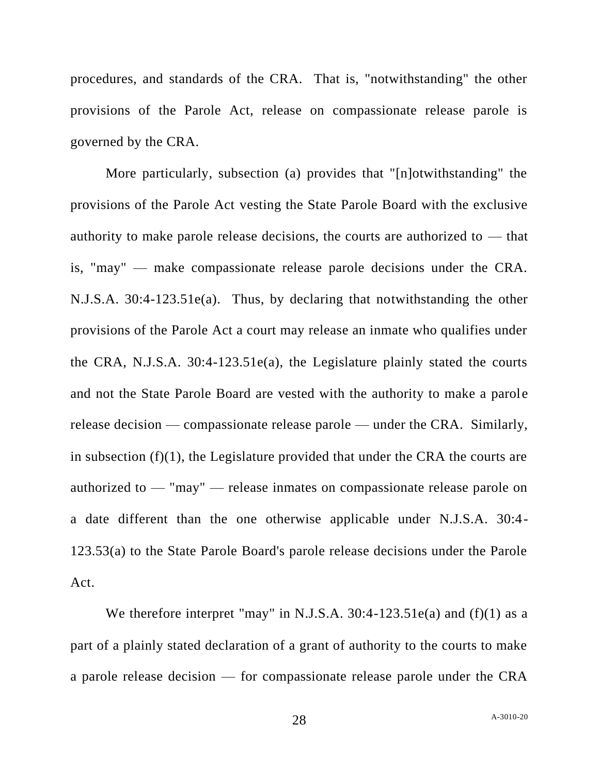procedures, and standards of the CRA. That is, "notwithstanding" the other provisions of the Parole Act, release on compassionate release parole is governed by the CRA.

More particularly, subsection (a) provides that "[n]otwithstanding" the provisions of the Parole Act vesting the State Parole Board with the exclusive authority to make parole release decisions, the courts are authorized to — that is, "may" — make compassionate release parole decisions under the CRA. N.J.S.A. 30:4-123.51e(a). Thus, by declaring that notwithstanding the other provisions of the Parole Act a court may release an inmate who qualifies under the CRA, N.J.S.A. 30:4-123.51e(a), the Legislature plainly stated the courts and not the State Parole Board are vested with the authority to make a parole release decision — compassionate release parole — under the CRA. Similarly, in subsection (f)(1), the Legislature provided that under the CRA the courts are authorized to — "may" — release inmates on compassionate release parole on a date different than the one otherwise applicable under N.J.S.A. 30:4- 123.53(a) to the State Parole Board's parole release decisions under the Parole Act.

We therefore interpret "may" in N.J.S.A. 30:4-123.51e(a) and (f)(1) as a part of a plainly stated declaration of a grant of authority to the courts to make a parole release decision — for compassionate release parole under the CRA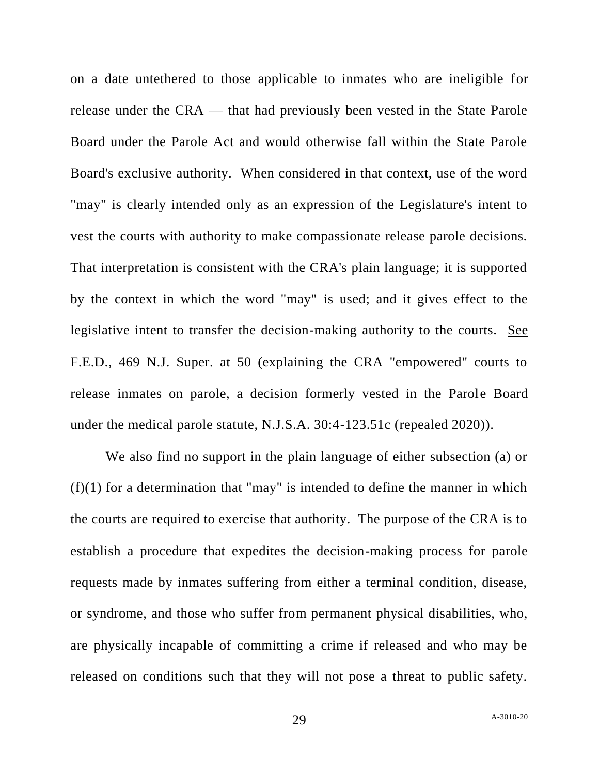on a date untethered to those applicable to inmates who are ineligible for release under the CRA — that had previously been vested in the State Parole Board under the Parole Act and would otherwise fall within the State Parole Board's exclusive authority. When considered in that context, use of the word "may" is clearly intended only as an expression of the Legislature's intent to vest the courts with authority to make compassionate release parole decisions. That interpretation is consistent with the CRA's plain language; it is supported by the context in which the word "may" is used; and it gives effect to the legislative intent to transfer the decision-making authority to the courts. See F.E.D., 469 N.J. Super. at 50 (explaining the CRA "empowered" courts to release inmates on parole, a decision formerly vested in the Parole Board under the medical parole statute, N.J.S.A. 30:4-123.51c (repealed 2020)).

We also find no support in the plain language of either subsection (a) or  $(f)(1)$  for a determination that "may" is intended to define the manner in which the courts are required to exercise that authority. The purpose of the CRA is to establish a procedure that expedites the decision-making process for parole requests made by inmates suffering from either a terminal condition, disease, or syndrome, and those who suffer from permanent physical disabilities, who, are physically incapable of committing a crime if released and who may be released on conditions such that they will not pose a threat to public safety.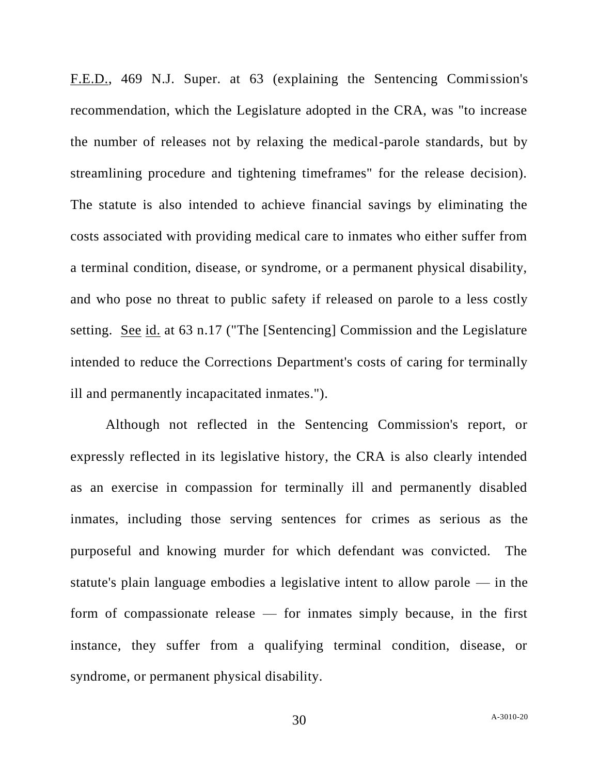F.E.D., 469 N.J. Super. at 63 (explaining the Sentencing Commission's recommendation, which the Legislature adopted in the CRA, was "to increase the number of releases not by relaxing the medical-parole standards, but by streamlining procedure and tightening timeframes" for the release decision). The statute is also intended to achieve financial savings by eliminating the costs associated with providing medical care to inmates who either suffer from a terminal condition, disease, or syndrome, or a permanent physical disability, and who pose no threat to public safety if released on parole to a less costly setting. See id. at 63 n.17 ("The [Sentencing] Commission and the Legislature intended to reduce the Corrections Department's costs of caring for terminally ill and permanently incapacitated inmates.").

Although not reflected in the Sentencing Commission's report, or expressly reflected in its legislative history, the CRA is also clearly intended as an exercise in compassion for terminally ill and permanently disabled inmates, including those serving sentences for crimes as serious as the purposeful and knowing murder for which defendant was convicted. The statute's plain language embodies a legislative intent to allow parole — in the form of compassionate release — for inmates simply because, in the first instance, they suffer from a qualifying terminal condition, disease, or syndrome, or permanent physical disability.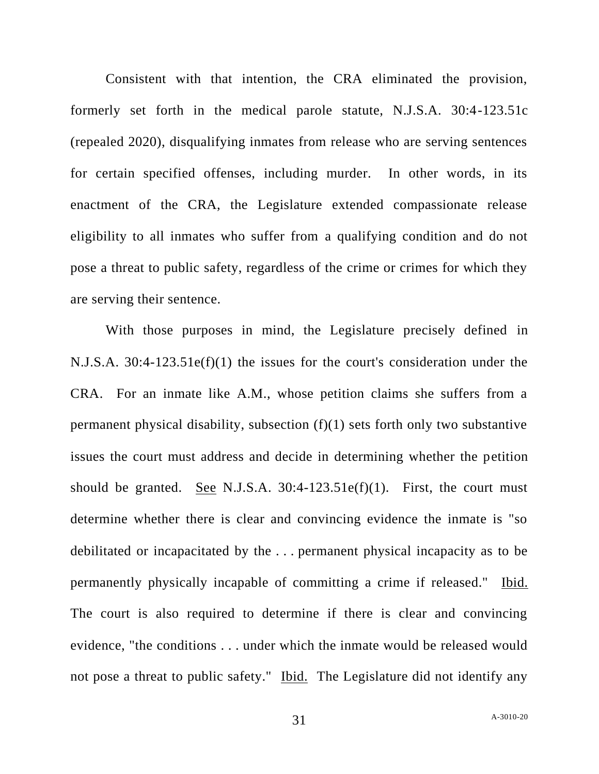Consistent with that intention, the CRA eliminated the provision, formerly set forth in the medical parole statute, N.J.S.A. 30:4-123.51c (repealed 2020), disqualifying inmates from release who are serving sentences for certain specified offenses, including murder. In other words, in its enactment of the CRA, the Legislature extended compassionate release eligibility to all inmates who suffer from a qualifying condition and do not pose a threat to public safety, regardless of the crime or crimes for which they are serving their sentence.

With those purposes in mind, the Legislature precisely defined in N.J.S.A. 30:4-123.51e(f)(1) the issues for the court's consideration under the CRA. For an inmate like A.M., whose petition claims she suffers from a permanent physical disability, subsection (f)(1) sets forth only two substantive issues the court must address and decide in determining whether the petition should be granted. See N.J.S.A.  $30:4-123.51e(f)(1)$ . First, the court must determine whether there is clear and convincing evidence the inmate is "so debilitated or incapacitated by the . . . permanent physical incapacity as to be permanently physically incapable of committing a crime if released." Ibid. The court is also required to determine if there is clear and convincing evidence, "the conditions . . . under which the inmate would be released would not pose a threat to public safety." Ibid. The Legislature did not identify any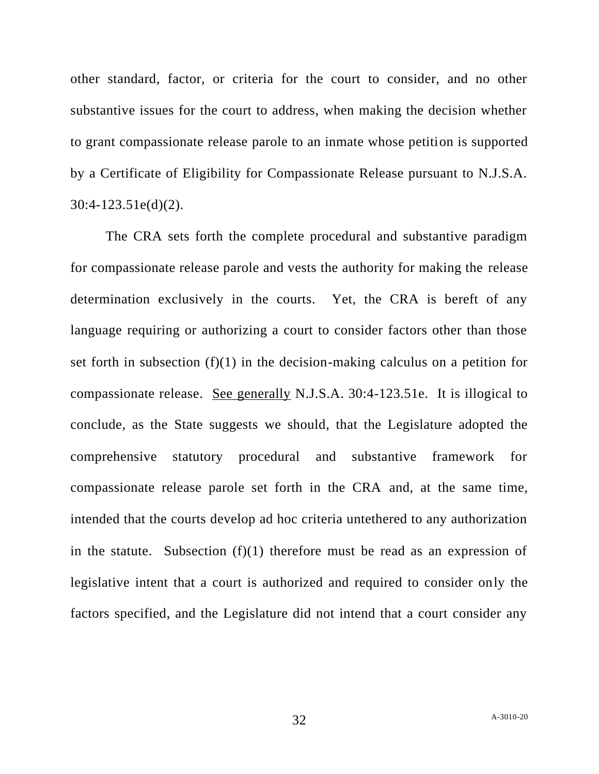other standard, factor, or criteria for the court to consider, and no other substantive issues for the court to address, when making the decision whether to grant compassionate release parole to an inmate whose petition is supported by a Certificate of Eligibility for Compassionate Release pursuant to N.J.S.A. 30:4-123.51e(d)(2).

The CRA sets forth the complete procedural and substantive paradigm for compassionate release parole and vests the authority for making the release determination exclusively in the courts. Yet, the CRA is bereft of any language requiring or authorizing a court to consider factors other than those set forth in subsection (f)(1) in the decision-making calculus on a petition for compassionate release. See generally N.J.S.A. 30:4-123.51e. It is illogical to conclude, as the State suggests we should, that the Legislature adopted the comprehensive statutory procedural and substantive framework for compassionate release parole set forth in the CRA and, at the same time, intended that the courts develop ad hoc criteria untethered to any authorization in the statute. Subsection (f)(1) therefore must be read as an expression of legislative intent that a court is authorized and required to consider only the factors specified, and the Legislature did not intend that a court consider any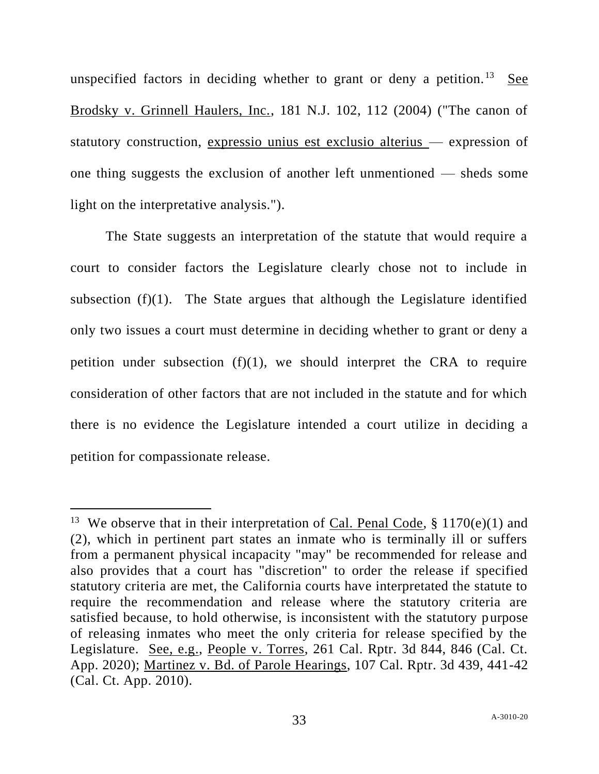unspecified factors in deciding whether to grant or deny a petition.<sup>13</sup> See Brodsky v. Grinnell Haulers, Inc., 181 N.J. 102, 112 (2004) ("The canon of statutory construction, expressio unius est exclusio alterius — expression of one thing suggests the exclusion of another left unmentioned — sheds some light on the interpretative analysis.").

The State suggests an interpretation of the statute that would require a court to consider factors the Legislature clearly chose not to include in subsection  $(f)(1)$ . The State argues that although the Legislature identified only two issues a court must determine in deciding whether to grant or deny a petition under subsection  $(f)(1)$ , we should interpret the CRA to require consideration of other factors that are not included in the statute and for which there is no evidence the Legislature intended a court utilize in deciding a petition for compassionate release.

<sup>&</sup>lt;sup>13</sup> We observe that in their interpretation of <u>Cal. Penal Code</u>, § 1170(e)(1) and (2), which in pertinent part states an inmate who is terminally ill or suffers from a permanent physical incapacity "may" be recommended for release and also provides that a court has "discretion" to order the release if specified statutory criteria are met, the California courts have interpretated the statute to require the recommendation and release where the statutory criteria are satisfied because, to hold otherwise, is inconsistent with the statutory purpose of releasing inmates who meet the only criteria for release specified by the Legislature. See, e.g., People v. Torres, 261 Cal. Rptr. 3d 844, 846 (Cal. Ct. App. 2020); Martinez v. Bd. of Parole Hearings, 107 Cal. Rptr. 3d 439, 441-42 (Cal. Ct. App. 2010).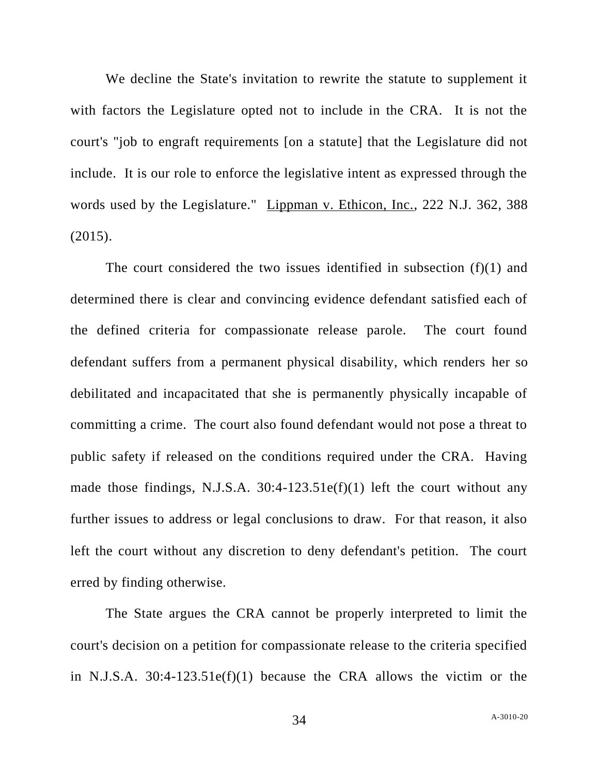We decline the State's invitation to rewrite the statute to supplement it with factors the Legislature opted not to include in the CRA. It is not the court's "job to engraft requirements [on a statute] that the Legislature did not include. It is our role to enforce the legislative intent as expressed through the words used by the Legislature." Lippman v. Ethicon, Inc., 222 N.J. 362, 388 (2015).

The court considered the two issues identified in subsection (f)(1) and determined there is clear and convincing evidence defendant satisfied each of the defined criteria for compassionate release parole. The court found defendant suffers from a permanent physical disability, which renders her so debilitated and incapacitated that she is permanently physically incapable of committing a crime. The court also found defendant would not pose a threat to public safety if released on the conditions required under the CRA. Having made those findings, N.J.S.A. 30:4-123.51e(f)(1) left the court without any further issues to address or legal conclusions to draw. For that reason, it also left the court without any discretion to deny defendant's petition. The court erred by finding otherwise.

The State argues the CRA cannot be properly interpreted to limit the court's decision on a petition for compassionate release to the criteria specified in N.J.S.A. 30:4-123.51e(f)(1) because the CRA allows the victim or the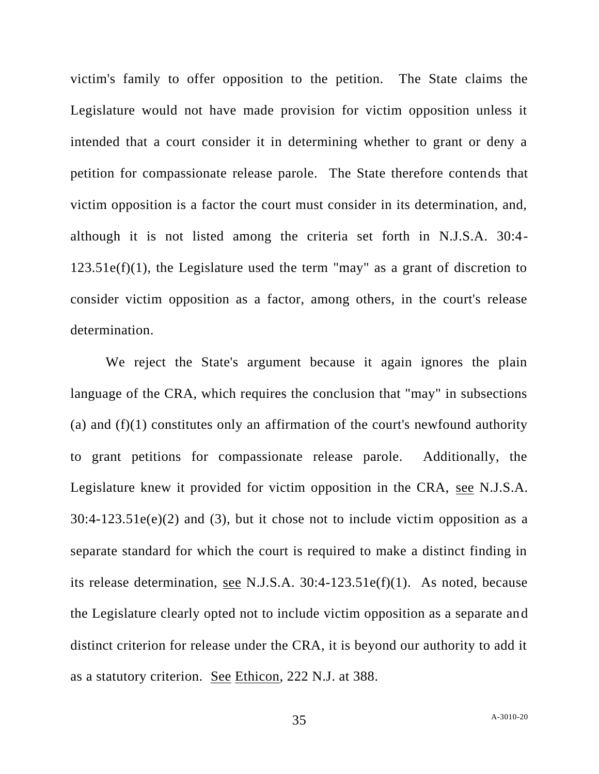victim's family to offer opposition to the petition. The State claims the Legislature would not have made provision for victim opposition unless it intended that a court consider it in determining whether to grant or deny a petition for compassionate release parole. The State therefore contends that victim opposition is a factor the court must consider in its determination, and, although it is not listed among the criteria set forth in N.J.S.A. 30:4-  $123.51e(f)(1)$ , the Legislature used the term "may" as a grant of discretion to consider victim opposition as a factor, among others, in the court's release determination.

We reject the State's argument because it again ignores the plain language of the CRA, which requires the conclusion that "may" in subsections (a) and  $(f)(1)$  constitutes only an affirmation of the court's newfound authority to grant petitions for compassionate release parole. Additionally, the Legislature knew it provided for victim opposition in the CRA, see N.J.S.A.  $30:4-123.51e(e)(2)$  and (3), but it chose not to include victim opposition as a separate standard for which the court is required to make a distinct finding in its release determination, see N.J.S.A. 30:4-123.51e(f)(1). As noted, because the Legislature clearly opted not to include victim opposition as a separate and distinct criterion for release under the CRA, it is beyond our authority to add it as a statutory criterion. See Ethicon, 222 N.J. at 388.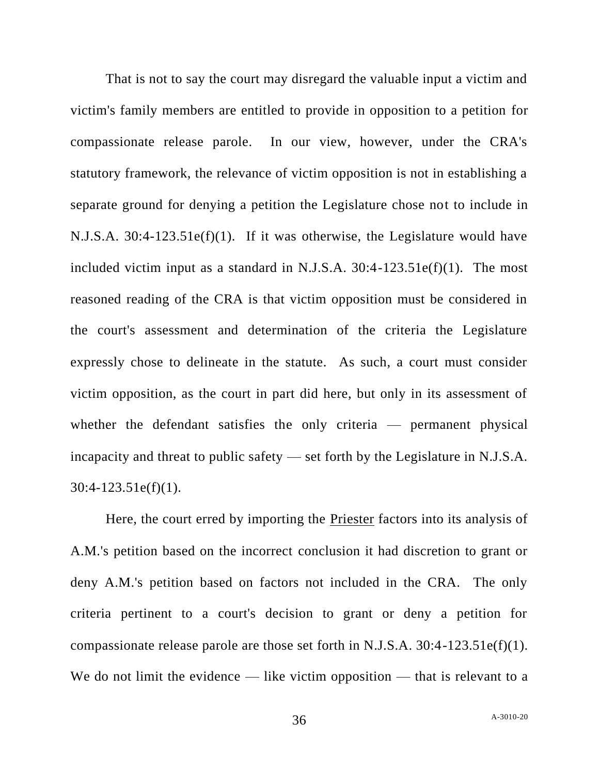That is not to say the court may disregard the valuable input a victim and victim's family members are entitled to provide in opposition to a petition for compassionate release parole. In our view, however, under the CRA's statutory framework, the relevance of victim opposition is not in establishing a separate ground for denying a petition the Legislature chose not to include in N.J.S.A. 30:4-123.51e(f)(1). If it was otherwise, the Legislature would have included victim input as a standard in N.J.S.A. 30:4-123.51e(f)(1). The most reasoned reading of the CRA is that victim opposition must be considered in the court's assessment and determination of the criteria the Legislature expressly chose to delineate in the statute. As such, a court must consider victim opposition, as the court in part did here, but only in its assessment of whether the defendant satisfies the only criteria — permanent physical incapacity and threat to public safety — set forth by the Legislature in N.J.S.A.  $30:4-123.51e(f)(1)$ .

Here, the court erred by importing the Priester factors into its analysis of A.M.'s petition based on the incorrect conclusion it had discretion to grant or deny A.M.'s petition based on factors not included in the CRA. The only criteria pertinent to a court's decision to grant or deny a petition for compassionate release parole are those set forth in N.J.S.A. 30:4-123.51e(f)(1). We do not limit the evidence — like victim opposition — that is relevant to a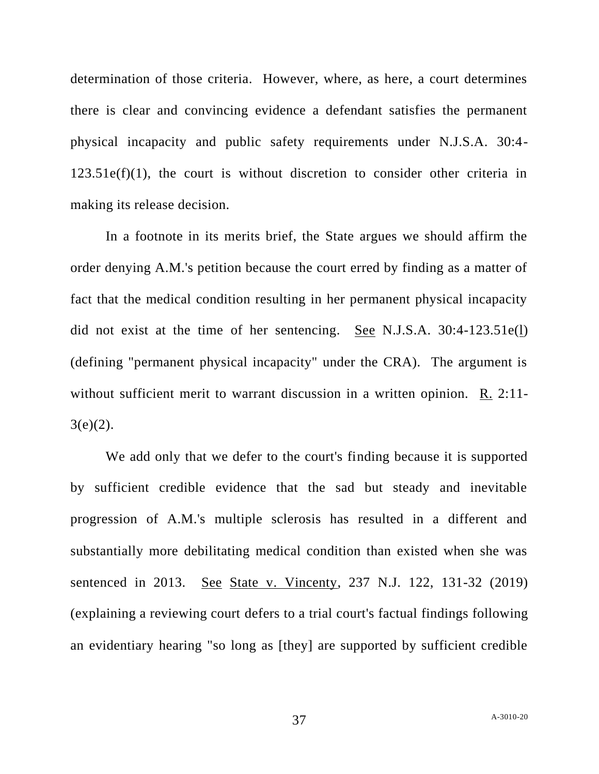determination of those criteria. However, where, as here, a court determines there is clear and convincing evidence a defendant satisfies the permanent physical incapacity and public safety requirements under N.J.S.A. 30:4-  $123.51e(f)(1)$ , the court is without discretion to consider other criteria in making its release decision.

In a footnote in its merits brief, the State argues we should affirm the order denying A.M.'s petition because the court erred by finding as a matter of fact that the medical condition resulting in her permanent physical incapacity did not exist at the time of her sentencing. See N.J.S.A. 30:4-123.51e(1) (defining "permanent physical incapacity" under the CRA). The argument is without sufficient merit to warrant discussion in a written opinion. R. 2:11- $3(e)(2)$ .

We add only that we defer to the court's finding because it is supported by sufficient credible evidence that the sad but steady and inevitable progression of A.M.'s multiple sclerosis has resulted in a different and substantially more debilitating medical condition than existed when she was sentenced in 2013. See State v. Vincenty, 237 N.J. 122, 131-32 (2019) (explaining a reviewing court defers to a trial court's factual findings following an evidentiary hearing "so long as [they] are supported by sufficient credible